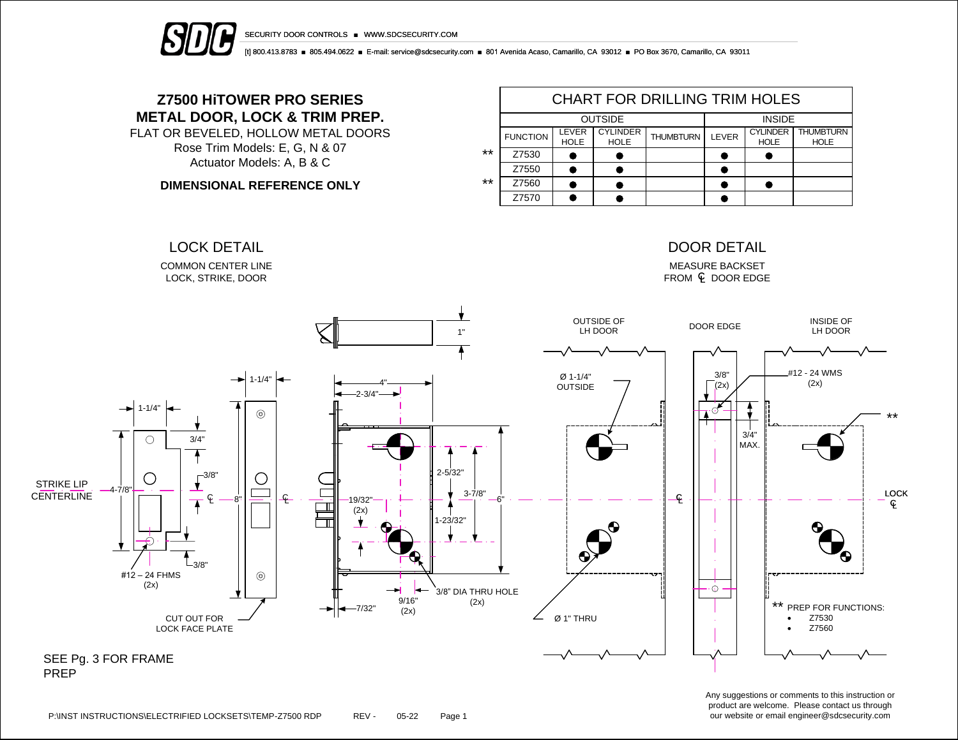



[t] 800.413.8783 ■ 805.494.0622 ■ E-mail: service@sdcsecurity.com ■ 801 Avenida Acaso, Camarillo, CA 93012 ■ PO Box 3670, Camarillo, CA 93011

# **Z7500 HiTOWER PRO SERIES METAL DOOR, LOCK & TRIM PREP.**

FLAT OR BEVELED, HOLLOW METAL DOORS Rose Trim Models: E, G, N & 07 Actuator Models: A, B & C

**DIMENSIONAL REFERENCE ONLY**

|       | CHART FOR DRILLING TRIM HOLES |                      |                                |                  |       |                                |                                 |  |  |  |  |
|-------|-------------------------------|----------------------|--------------------------------|------------------|-------|--------------------------------|---------------------------------|--|--|--|--|
|       |                               | <b>OUTSIDE</b>       | <b>INSIDE</b>                  |                  |       |                                |                                 |  |  |  |  |
|       | <b>FUNCTION</b>               | LEVER<br><b>HOLE</b> | <b>CYLINDER</b><br><b>HOLE</b> | <b>THUMBTURN</b> | LEVER | <b>CYLINDER</b><br><b>HOLE</b> | <b>THUMBTURN</b><br><b>HOLE</b> |  |  |  |  |
| **    | Z7530                         |                      |                                |                  |       |                                |                                 |  |  |  |  |
|       | Z7550                         |                      |                                |                  |       |                                |                                 |  |  |  |  |
| $***$ | Z7560                         |                      |                                |                  |       |                                |                                 |  |  |  |  |
|       | Z7570                         |                      |                                |                  |       |                                |                                 |  |  |  |  |



Any suggestions or comments to this instruction or product are welcome. Please contact us through our website or email engineer@sdcsecurity.com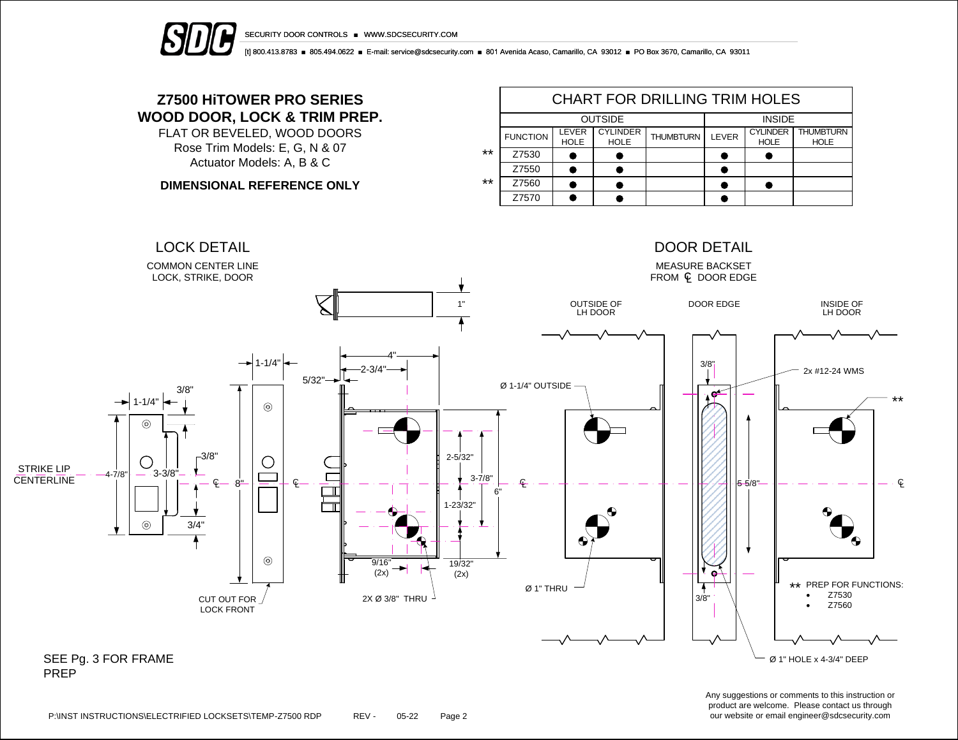



[t] 800.413.8783 ■ 805.494.0622 ■ E-mail: service@sdcsecurity.com ■ 801 Avenida Acaso, Camarillo, CA 93012 ■ PO Box 3670, Camarillo, CA 93011

# **Z7500 HiTOWER PRO SERIES WOOD DOOR, LOCK & TRIM PREP.**

FLAT OR BEVELED, WOOD DOORS Rose Trim Models: E, G, N & 07 Actuator Models: A, B & C

**DIMENSIONAL REFERENCE ONLY**

|       | <b>CHART FOR DRILLING TRIM HOLES</b> |                      |                                |                  |       |                                |                                 |  |  |  |  |
|-------|--------------------------------------|----------------------|--------------------------------|------------------|-------|--------------------------------|---------------------------------|--|--|--|--|
|       |                                      | <b>OUTSIDE</b>       | <b>INSIDE</b>                  |                  |       |                                |                                 |  |  |  |  |
|       | <b>FUNCTION</b>                      | LEVER<br><b>HOLE</b> | <b>CYLINDER</b><br><b>HOLE</b> | <b>THUMBTURN</b> | LEVER | <b>CYLINDER</b><br><b>HOLE</b> | <b>THUMBTURN</b><br><b>HOLE</b> |  |  |  |  |
| $***$ | Z7530                                |                      |                                |                  |       |                                |                                 |  |  |  |  |
|       | Z7550                                |                      |                                |                  |       |                                |                                 |  |  |  |  |
| $***$ | Z7560                                |                      |                                |                  |       |                                |                                 |  |  |  |  |
|       | Z7570                                |                      |                                |                  |       |                                |                                 |  |  |  |  |